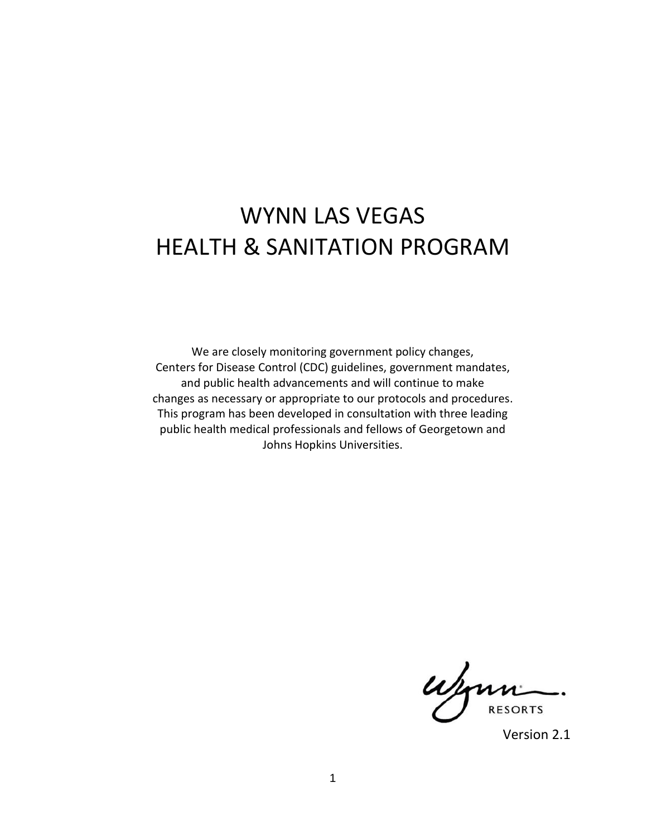# WYNN LAS VEGAS HEALTH & SANITATION PROGRAM

We are closely monitoring government policy changes, Centers for Disease Control (CDC) guidelines, government mandates, and public health advancements and will continue to make changes as necessary or appropriate to our protocols and procedures. This program has been developed in consultation with three leading public health medical professionals and fellows of Georgetown and Johns Hopkins Universities.

**RESORTS** 

Version 2.1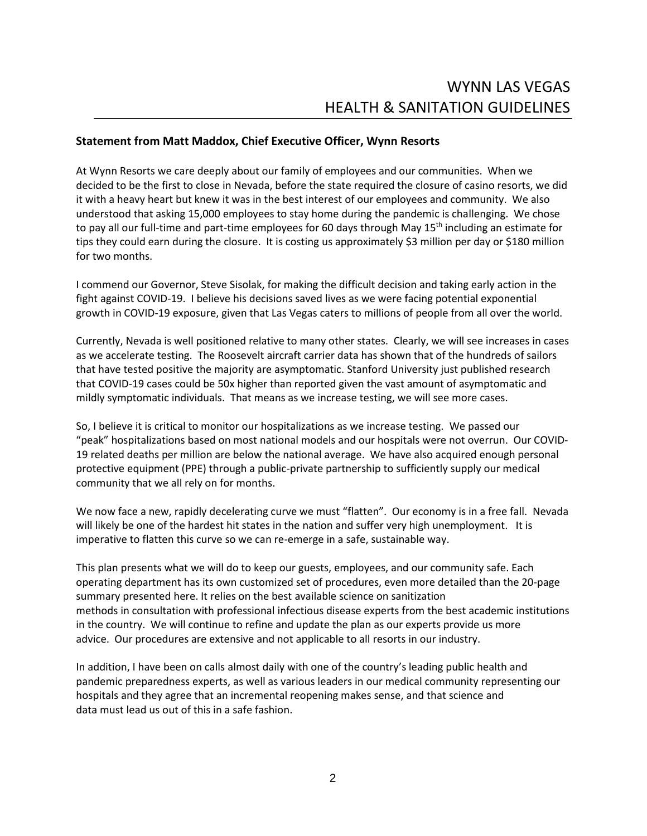#### **Statement from Matt Maddox, Chief Executive Officer, Wynn Resorts**

At Wynn Resorts we care deeply about our family of employees and our communities. When we decided to be the first to close in Nevada, before the state required the closure of casino resorts, we did it with a heavy heart but knew it was in the best interest of our employees and community. We also understood that asking 15,000 employees to stay home during the pandemic is challenging. We chose to pay all our full-time and part-time employees for 60 days through May 15<sup>th</sup> including an estimate for tips they could earn during the closure. It is costing us approximately \$3 million per day or \$180 million for two months.

I commend our Governor, Steve Sisolak, for making the difficult decision and taking early action in the fight against COVID-19. I believe his decisions saved lives as we were facing potential exponential growth in COVID-19 exposure, given that Las Vegas caters to millions of people from all over the world.

Currently, Nevada is well positioned relative to many other states. Clearly, we will see increases in cases as we accelerate testing. The Roosevelt aircraft carrier data has shown that of the hundreds of sailors that have tested positive the majority are asymptomatic. Stanford University just published research that COVID-19 cases could be 50x higher than reported given the vast amount of asymptomatic and mildly symptomatic individuals. That means as we increase testing, we will see more cases.

So, I believe it is critical to monitor our hospitalizations as we increase testing. We passed our "peak" hospitalizations based on most national models and our hospitals were not overrun. Our COVID-19 related deaths per million are below the national average. We have also acquired enough personal protective equipment (PPE) through a public-private partnership to sufficiently supply our medical community that we all rely on for months.

We now face a new, rapidly decelerating curve we must "flatten". Our economy is in a free fall. Nevada will likely be one of the hardest hit states in the nation and suffer very high unemployment. It is imperative to flatten this curve so we can re-emerge in a safe, sustainable way.

This plan presents what we will do to keep our guests, employees, and our community safe. Each operating department has its own customized set of procedures, even more detailed than the 20-page summary presented here. It relies on the best available science on sanitization methods in consultation with professional infectious disease experts from the best academic institutions in the country. We will continue to refine and update the plan as our experts provide us more advice. Our procedures are extensive and not applicable to all resorts in our industry.

In addition, I have been on calls almost daily with one of the country's leading public health and pandemic preparedness experts, as well as various leaders in our medical community representing our hospitals and they agree that an incremental reopening makes sense, and that science and data must lead us out of this in a safe fashion.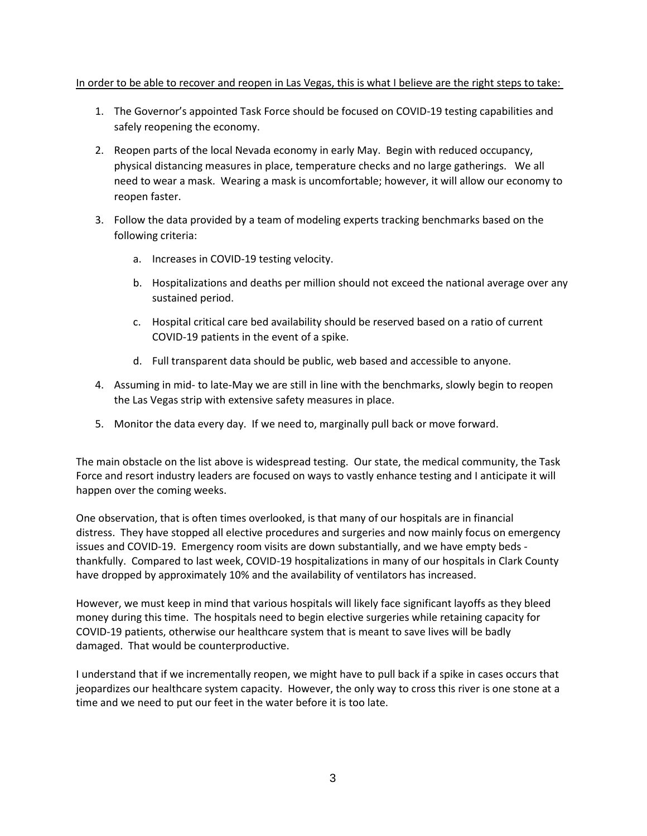#### In order to be able to recover and reopen in Las Vegas, this is what I believe are the right steps to take:

- 1. The Governor's appointed Task Force should be focused on COVID-19 testing capabilities and safely reopening the economy.
- 2. Reopen parts of the local Nevada economy in early May. Begin with reduced occupancy, physical distancing measures in place, temperature checks and no large gatherings. We all need to wear a mask. Wearing a mask is uncomfortable; however, it will allow our economy to reopen faster.
- 3. Follow the data provided by a team of modeling experts tracking benchmarks based on the following criteria:
	- a. Increases in COVID-19 testing velocity.
	- b. Hospitalizations and deaths per million should not exceed the national average over any sustained period.
	- c. Hospital critical care bed availability should be reserved based on a ratio of current COVID-19 patients in the event of a spike.
	- d. Full transparent data should be public, web based and accessible to anyone.
- 4. Assuming in mid- to late-May we are still in line with the benchmarks, slowly begin to reopen the Las Vegas strip with extensive safety measures in place.
- 5. Monitor the data every day. If we need to, marginally pull back or move forward.

The main obstacle on the list above is widespread testing. Our state, the medical community, the Task Force and resort industry leaders are focused on ways to vastly enhance testing and I anticipate it will happen over the coming weeks.

One observation, that is often times overlooked, is that many of our hospitals are in financial distress. They have stopped all elective procedures and surgeries and now mainly focus on emergency issues and COVID-19. Emergency room visits are down substantially, and we have empty beds thankfully. Compared to last week, COVID-19 hospitalizations in many of our hospitals in Clark County have dropped by approximately 10% and the availability of ventilators has increased.

However, we must keep in mind that various hospitals will likely face significant layoffs as they bleed money during this time. The hospitals need to begin elective surgeries while retaining capacity for COVID-19 patients, otherwise our healthcare system that is meant to save lives will be badly damaged. That would be counterproductive.

I understand that if we incrementally reopen, we might have to pull back if a spike in cases occurs that jeopardizes our healthcare system capacity. However, the only way to cross this river is one stone at a time and we need to put our feet in the water before it is too late.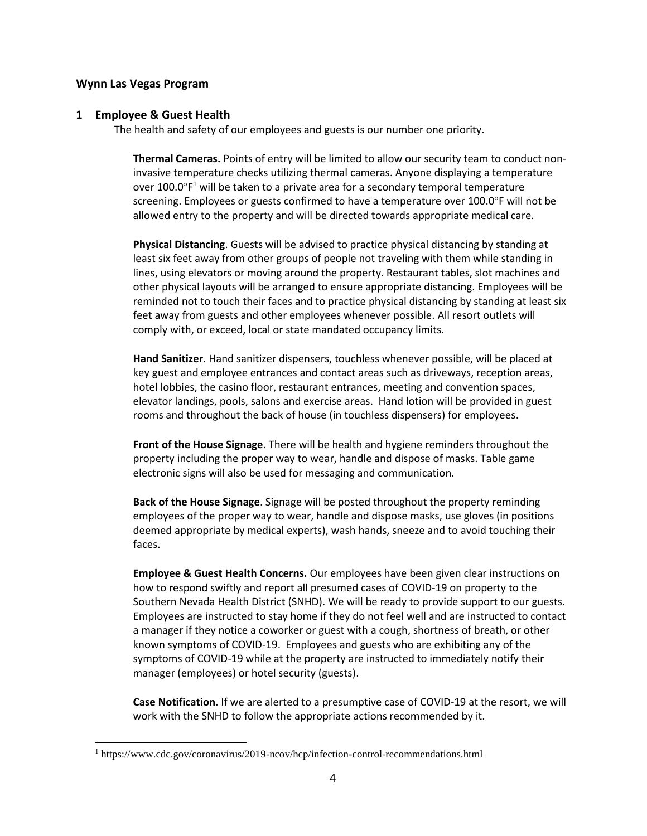#### **Wynn Las Vegas Program**

 $\overline{a}$ 

#### **1 Employee & Guest Health**

The health and safety of our employees and guests is our number one priority.

**Thermal Cameras.** Points of entry will be limited to allow our security team to conduct noninvasive temperature checks utilizing thermal cameras. Anyone displaying a temperature over 100.0°F<sup>1</sup> will be taken to a private area for a secondary temporal temperature screening. Employees or guests confirmed to have a temperature over 100.0°F will not be allowed entry to the property and will be directed towards appropriate medical care.

**Physical Distancing**. Guests will be advised to practice physical distancing by standing at least six feet away from other groups of people not traveling with them while standing in lines, using elevators or moving around the property. Restaurant tables, slot machines and other physical layouts will be arranged to ensure appropriate distancing. Employees will be reminded not to touch their faces and to practice physical distancing by standing at least six feet away from guests and other employees whenever possible. All resort outlets will comply with, or exceed, local or state mandated occupancy limits.

**Hand Sanitizer**. Hand sanitizer dispensers, touchless whenever possible, will be placed at key guest and employee entrances and contact areas such as driveways, reception areas, hotel lobbies, the casino floor, restaurant entrances, meeting and convention spaces, elevator landings, pools, salons and exercise areas. Hand lotion will be provided in guest rooms and throughout the back of house (in touchless dispensers) for employees.

**Front of the House Signage**. There will be health and hygiene reminders throughout the property including the proper way to wear, handle and dispose of masks. Table game electronic signs will also be used for messaging and communication.

**Back of the House Signage**. Signage will be posted throughout the property reminding employees of the proper way to wear, handle and dispose masks, use gloves (in positions deemed appropriate by medical experts), wash hands, sneeze and to avoid touching their faces.

**Employee & Guest Health Concerns.** Our employees have been given clear instructions on how to respond swiftly and report all presumed cases of COVID-19 on property to the Southern Nevada Health District (SNHD). We will be ready to provide support to our guests. Employees are instructed to stay home if they do not feel well and are instructed to contact a manager if they notice a coworker or guest with a cough, shortness of breath, or other known symptoms of COVID-19. Employees and guests who are exhibiting any of the symptoms of COVID-19 while at the property are instructed to immediately notify their manager (employees) or hotel security (guests).

**Case Notification**. If we are alerted to a presumptive case of COVID-19 at the resort, we will work with the SNHD to follow the appropriate actions recommended by it.

<sup>&</sup>lt;sup>1</sup> https://www.cdc.gov/coronavirus/2019-ncov/hcp/infection-control-recommendations.html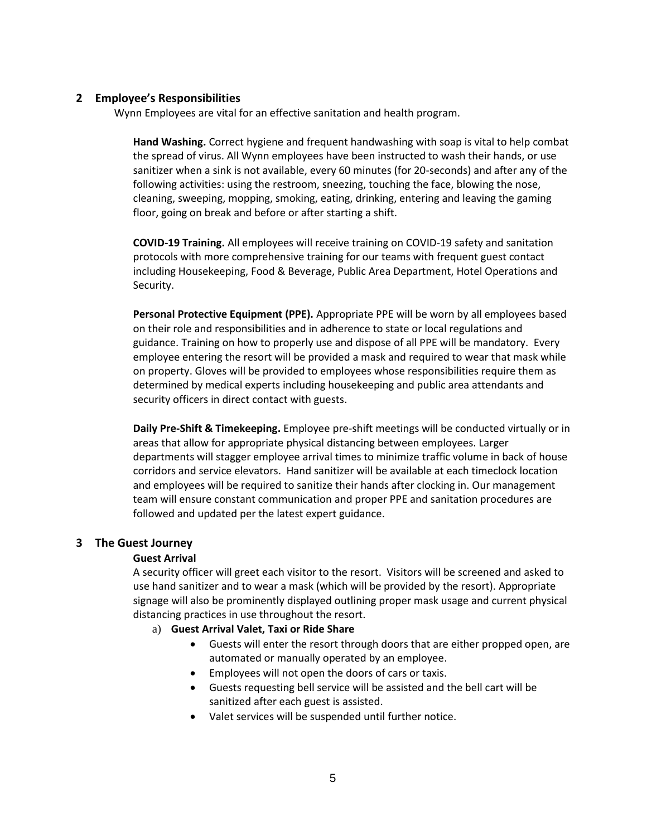#### **2 Employee's Responsibilities**

Wynn Employees are vital for an effective sanitation and health program.

**Hand Washing.** Correct hygiene and frequent handwashing with soap is vital to help combat the spread of virus. All Wynn employees have been instructed to wash their hands, or use sanitizer when a sink is not available, every 60 minutes (for 20-seconds) and after any of the following activities: using the restroom, sneezing, touching the face, blowing the nose, cleaning, sweeping, mopping, smoking, eating, drinking, entering and leaving the gaming floor, going on break and before or after starting a shift.

**COVID-19 Training.** All employees will receive training on COVID-19 safety and sanitation protocols with more comprehensive training for our teams with frequent guest contact including Housekeeping, Food & Beverage, Public Area Department, Hotel Operations and Security.

**Personal Protective Equipment (PPE).** Appropriate PPE will be worn by all employees based on their role and responsibilities and in adherence to state or local regulations and guidance. Training on how to properly use and dispose of all PPE will be mandatory. Every employee entering the resort will be provided a mask and required to wear that mask while on property. Gloves will be provided to employees whose responsibilities require them as determined by medical experts including housekeeping and public area attendants and security officers in direct contact with guests.

**Daily Pre-Shift & Timekeeping.** Employee pre-shift meetings will be conducted virtually or in areas that allow for appropriate physical distancing between employees. Larger departments will stagger employee arrival times to minimize traffic volume in back of house corridors and service elevators. Hand sanitizer will be available at each timeclock location and employees will be required to sanitize their hands after clocking in. Our management team will ensure constant communication and proper PPE and sanitation procedures are followed and updated per the latest expert guidance.

#### **3 The Guest Journey**

#### **Guest Arrival**

A security officer will greet each visitor to the resort. Visitors will be screened and asked to use hand sanitizer and to wear a mask (which will be provided by the resort). Appropriate signage will also be prominently displayed outlining proper mask usage and current physical distancing practices in use throughout the resort.

- a) **Guest Arrival Valet, Taxi or Ride Share**
	- Guests will enter the resort through doors that are either propped open, are automated or manually operated by an employee.
	- Employees will not open the doors of cars or taxis.
	- Guests requesting bell service will be assisted and the bell cart will be sanitized after each guest is assisted.
	- Valet services will be suspended until further notice.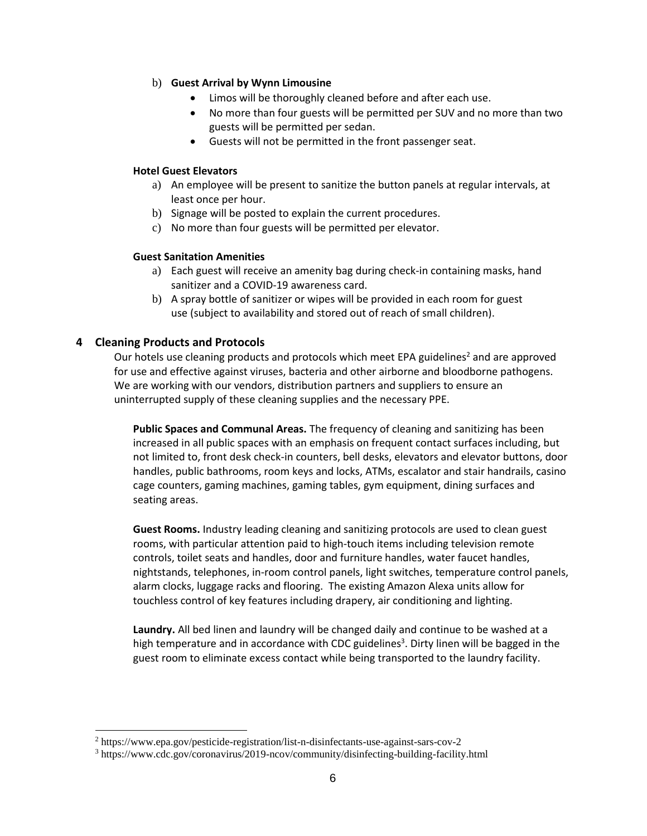#### b) **Guest Arrival by Wynn Limousine**

- Limos will be thoroughly cleaned before and after each use.
- No more than four guests will be permitted per SUV and no more than two guests will be permitted per sedan.
- Guests will not be permitted in the front passenger seat.

#### **Hotel Guest Elevators**

- a) An employee will be present to sanitize the button panels at regular intervals, at least once per hour.
- b) Signage will be posted to explain the current procedures.
- c) No more than four guests will be permitted per elevator.

#### **Guest Sanitation Amenities**

- a) Each guest will receive an amenity bag during check-in containing masks, hand sanitizer and a COVID-19 awareness card.
- b) A spray bottle of sanitizer or wipes will be provided in each room for guest use (subject to availability and stored out of reach of small children).

#### **4 Cleaning Products and Protocols**

l

Our hotels use cleaning products and protocols which meet EPA guidelines<sup>2</sup> and are approved for use and effective against viruses, bacteria and other airborne and bloodborne pathogens. We are working with our vendors, distribution partners and suppliers to ensure an uninterrupted supply of these cleaning supplies and the necessary PPE.

**Public Spaces and Communal Areas.** The frequency of cleaning and sanitizing has been increased in all public spaces with an emphasis on frequent contact surfaces including, but not limited to, front desk check-in counters, bell desks, elevators and elevator buttons, door handles, public bathrooms, room keys and locks, ATMs, escalator and stair handrails, casino cage counters, gaming machines, gaming tables, gym equipment, dining surfaces and seating areas.

**Guest Rooms.** Industry leading cleaning and sanitizing protocols are used to clean guest rooms, with particular attention paid to high-touch items including television remote controls, toilet seats and handles, door and furniture handles, water faucet handles, nightstands, telephones, in-room control panels, light switches, temperature control panels, alarm clocks, luggage racks and flooring. The existing Amazon Alexa units allow for touchless control of key features including drapery, air conditioning and lighting.

**Laundry.** All bed linen and laundry will be changed daily and continue to be washed at a high temperature and in accordance with CDC guidelines<sup>3</sup>. Dirty linen will be bagged in the guest room to eliminate excess contact while being transported to the laundry facility.

<sup>2</sup> https://www.epa.gov/pesticide-registration/list-n-disinfectants-use-against-sars-cov-2

<sup>3</sup> https://www.cdc.gov/coronavirus/2019-ncov/community/disinfecting-building-facility.html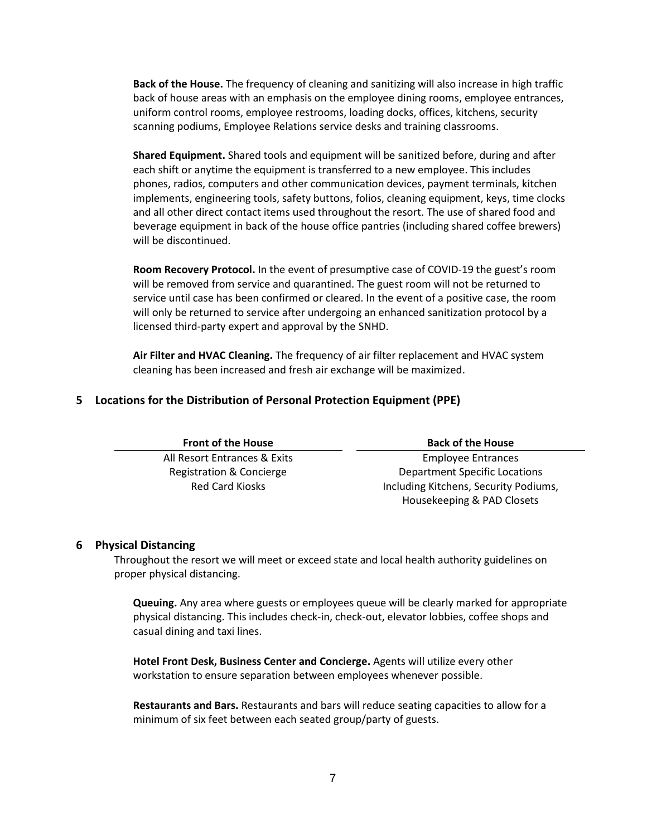**Back of the House.** The frequency of cleaning and sanitizing will also increase in high traffic back of house areas with an emphasis on the employee dining rooms, employee entrances, uniform control rooms, employee restrooms, loading docks, offices, kitchens, security scanning podiums, Employee Relations service desks and training classrooms.

**Shared Equipment.** Shared tools and equipment will be sanitized before, during and after each shift or anytime the equipment is transferred to a new employee. This includes phones, radios, computers and other communication devices, payment terminals, kitchen implements, engineering tools, safety buttons, folios, cleaning equipment, keys, time clocks and all other direct contact items used throughout the resort. The use of shared food and beverage equipment in back of the house office pantries (including shared coffee brewers) will be discontinued.

**Room Recovery Protocol.** In the event of presumptive case of COVID-19 the guest's room will be removed from service and quarantined. The guest room will not be returned to service until case has been confirmed or cleared. In the event of a positive case, the room will only be returned to service after undergoing an enhanced sanitization protocol by a licensed third-party expert and approval by the SNHD.

**Air Filter and HVAC Cleaning.** The frequency of air filter replacement and HVAC system cleaning has been increased and fresh air exchange will be maximized.

#### **5 Locations for the Distribution of Personal Protection Equipment (PPE)**

| <b>Front of the House</b>    | <b>Back of the House</b>              |
|------------------------------|---------------------------------------|
| All Resort Entrances & Exits | <b>Employee Entrances</b>             |
| Registration & Concierge     | <b>Department Specific Locations</b>  |
| <b>Red Card Kiosks</b>       | Including Kitchens, Security Podiums, |
|                              | Housekeeping & PAD Closets            |

#### **6 Physical Distancing**

Throughout the resort we will meet or exceed state and local health authority guidelines on proper physical distancing.

**Queuing.** Any area where guests or employees queue will be clearly marked for appropriate physical distancing. This includes check-in, check-out, elevator lobbies, coffee shops and casual dining and taxi lines.

**Hotel Front Desk, Business Center and Concierge.** Agents will utilize every other workstation to ensure separation between employees whenever possible.

**Restaurants and Bars.** Restaurants and bars will reduce seating capacities to allow for a minimum of six feet between each seated group/party of guests.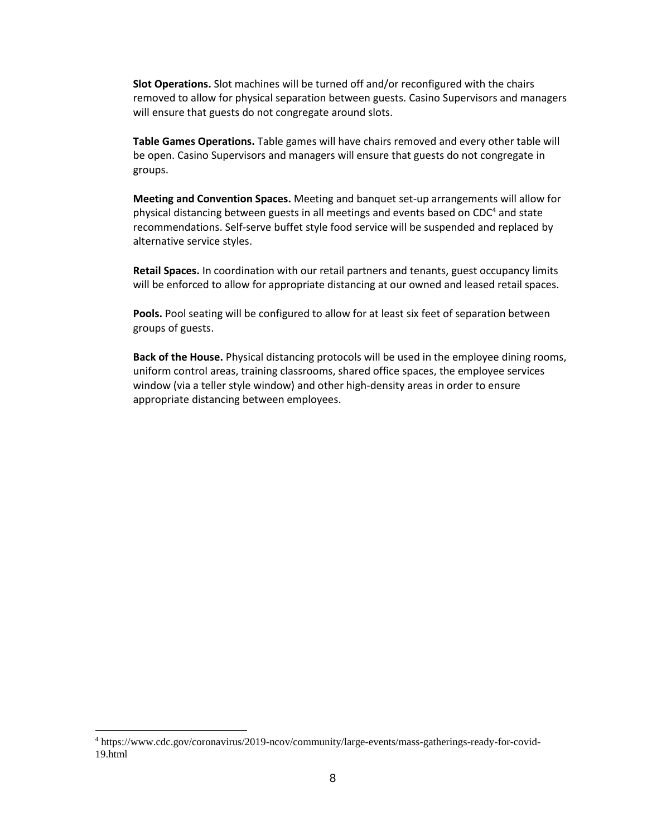**Slot Operations.** Slot machines will be turned off and/or reconfigured with the chairs removed to allow for physical separation between guests. Casino Supervisors and managers will ensure that guests do not congregate around slots.

**Table Games Operations.** Table games will have chairs removed and every other table will be open. Casino Supervisors and managers will ensure that guests do not congregate in groups.

**Meeting and Convention Spaces.** Meeting and banquet set-up arrangements will allow for physical distancing between guests in all meetings and events based on  $CDC<sup>4</sup>$  and state recommendations. Self-serve buffet style food service will be suspended and replaced by alternative service styles.

**Retail Spaces.** In coordination with our retail partners and tenants, guest occupancy limits will be enforced to allow for appropriate distancing at our owned and leased retail spaces.

**Pools.** Pool seating will be configured to allow for at least six feet of separation between groups of guests.

**Back of the House.** Physical distancing protocols will be used in the employee dining rooms, uniform control areas, training classrooms, shared office spaces, the employee services window (via a teller style window) and other high-density areas in order to ensure appropriate distancing between employees.

l

<sup>4</sup> https://www.cdc.gov/coronavirus/2019-ncov/community/large-events/mass-gatherings-ready-for-covid-19.html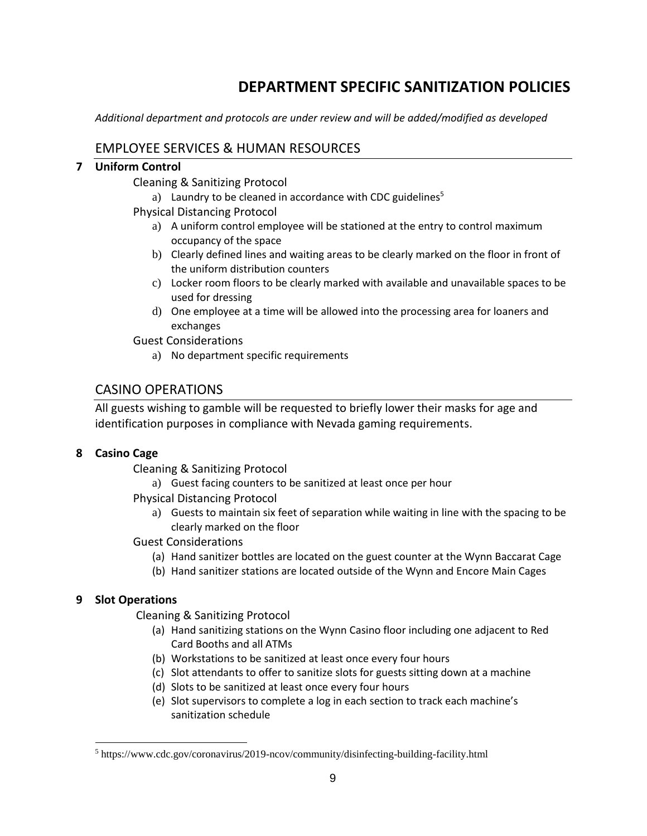# **DEPARTMENT SPECIFIC SANITIZATION POLICIES**

*Additional department and protocols are under review and will be added/modified as developed* 

# EMPLOYEE SERVICES & HUMAN RESOURCES

# **7 Uniform Control**

Cleaning & Sanitizing Protocol

- a) Laundry to be cleaned in accordance with CDC guidelines<sup>5</sup>
- Physical Distancing Protocol
	- a) A uniform control employee will be stationed at the entry to control maximum occupancy of the space
	- b) Clearly defined lines and waiting areas to be clearly marked on the floor in front of the uniform distribution counters
	- c) Locker room floors to be clearly marked with available and unavailable spaces to be used for dressing
	- d) One employee at a time will be allowed into the processing area for loaners and exchanges

Guest Considerations

a) No department specific requirements

# CASINO OPERATIONS

All guests wishing to gamble will be requested to briefly lower their masks for age and identification purposes in compliance with Nevada gaming requirements.

# **8 Casino Cage**

Cleaning & Sanitizing Protocol

a) Guest facing counters to be sanitized at least once per hour

Physical Distancing Protocol

a) Guests to maintain six feet of separation while waiting in line with the spacing to be clearly marked on the floor

# Guest Considerations

- (a) Hand sanitizer bottles are located on the guest counter at the Wynn Baccarat Cage
- (b) Hand sanitizer stations are located outside of the Wynn and Encore Main Cages

# **9 Slot Operations**

 $\overline{a}$ 

Cleaning & Sanitizing Protocol

- (a) Hand sanitizing stations on the Wynn Casino floor including one adjacent to Red Card Booths and all ATMs
- (b) Workstations to be sanitized at least once every four hours
- (c) Slot attendants to offer to sanitize slots for guests sitting down at a machine
- (d) Slots to be sanitized at least once every four hours
- (e) Slot supervisors to complete a log in each section to track each machine's sanitization schedule

<sup>5</sup> https://www.cdc.gov/coronavirus/2019-ncov/community/disinfecting-building-facility.html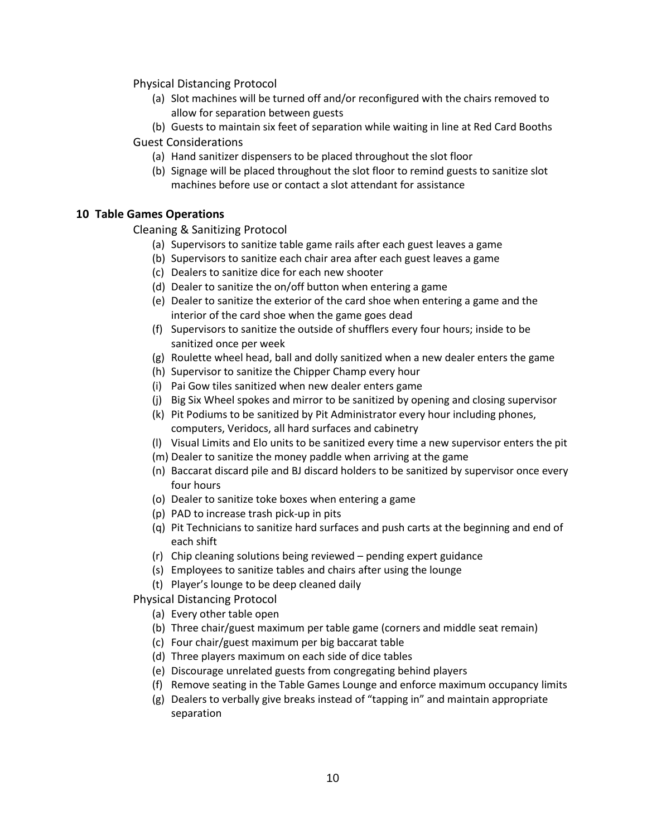Physical Distancing Protocol

- (a) Slot machines will be turned off and/or reconfigured with the chairs removed to allow for separation between guests
- (b) Guests to maintain six feet of separation while waiting in line at Red Card Booths Guest Considerations
	- (a) Hand sanitizer dispensers to be placed throughout the slot floor
	- (b) Signage will be placed throughout the slot floor to remind guests to sanitize slot machines before use or contact a slot attendant for assistance

#### **10 Table Games Operations**

Cleaning & Sanitizing Protocol

- (a) Supervisors to sanitize table game rails after each guest leaves a game
- (b) Supervisors to sanitize each chair area after each guest leaves a game
- (c) Dealers to sanitize dice for each new shooter
- (d) Dealer to sanitize the on/off button when entering a game
- (e) Dealer to sanitize the exterior of the card shoe when entering a game and the interior of the card shoe when the game goes dead
- (f) Supervisors to sanitize the outside of shufflers every four hours; inside to be sanitized once per week
- (g) Roulette wheel head, ball and dolly sanitized when a new dealer enters the game
- (h) Supervisor to sanitize the Chipper Champ every hour
- (i) Pai Gow tiles sanitized when new dealer enters game
- (j) Big Six Wheel spokes and mirror to be sanitized by opening and closing supervisor
- (k) Pit Podiums to be sanitized by Pit Administrator every hour including phones, computers, Veridocs, all hard surfaces and cabinetry
- (l) Visual Limits and Elo units to be sanitized every time a new supervisor enters the pit
- (m) Dealer to sanitize the money paddle when arriving at the game
- (n) Baccarat discard pile and BJ discard holders to be sanitized by supervisor once every four hours
- (o) Dealer to sanitize toke boxes when entering a game
- (p) PAD to increase trash pick-up in pits
- (q) Pit Technicians to sanitize hard surfaces and push carts at the beginning and end of each shift
- (r) Chip cleaning solutions being reviewed pending expert guidance
- (s) Employees to sanitize tables and chairs after using the lounge
- (t) Player's lounge to be deep cleaned daily

Physical Distancing Protocol

- (a) Every other table open
- (b) Three chair/guest maximum per table game (corners and middle seat remain)
- (c) Four chair/guest maximum per big baccarat table
- (d) Three players maximum on each side of dice tables
- (e) Discourage unrelated guests from congregating behind players
- (f) Remove seating in the Table Games Lounge and enforce maximum occupancy limits
- (g) Dealers to verbally give breaks instead of "tapping in" and maintain appropriate separation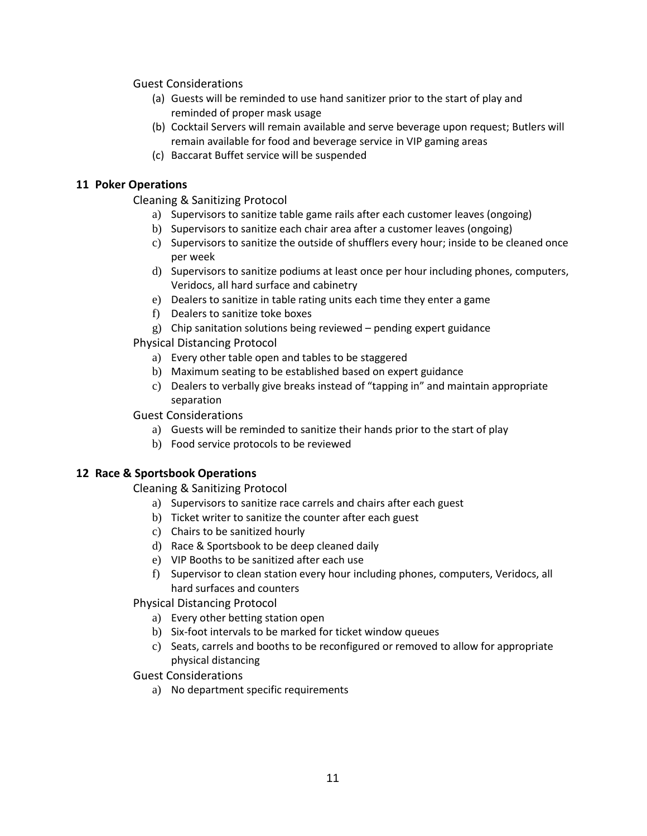Guest Considerations

- (a) Guests will be reminded to use hand sanitizer prior to the start of play and reminded of proper mask usage
- (b) Cocktail Servers will remain available and serve beverage upon request; Butlers will remain available for food and beverage service in VIP gaming areas
- (c) Baccarat Buffet service will be suspended

#### **11 Poker Operations**

Cleaning & Sanitizing Protocol

- a) Supervisors to sanitize table game rails after each customer leaves (ongoing)
- b) Supervisors to sanitize each chair area after a customer leaves (ongoing)
- c) Supervisors to sanitize the outside of shufflers every hour; inside to be cleaned once per week
- d) Supervisors to sanitize podiums at least once per hour including phones, computers, Veridocs, all hard surface and cabinetry
- e) Dealers to sanitize in table rating units each time they enter a game
- f) Dealers to sanitize toke boxes
- g) Chip sanitation solutions being reviewed pending expert guidance

Physical Distancing Protocol

- a) Every other table open and tables to be staggered
- b) Maximum seating to be established based on expert guidance
- c) Dealers to verbally give breaks instead of "tapping in" and maintain appropriate separation

Guest Considerations

- a) Guests will be reminded to sanitize their hands prior to the start of play
- b) Food service protocols to be reviewed

# **12 Race & Sportsbook Operations**

Cleaning & Sanitizing Protocol

- a) Supervisors to sanitize race carrels and chairs after each guest
- b) Ticket writer to sanitize the counter after each guest
- c) Chairs to be sanitized hourly
- d) Race & Sportsbook to be deep cleaned daily
- e) VIP Booths to be sanitized after each use
- f) Supervisor to clean station every hour including phones, computers, Veridocs, all hard surfaces and counters

Physical Distancing Protocol

- a) Every other betting station open
- b) Six-foot intervals to be marked for ticket window queues
- c) Seats, carrels and booths to be reconfigured or removed to allow for appropriate physical distancing

Guest Considerations

a) No department specific requirements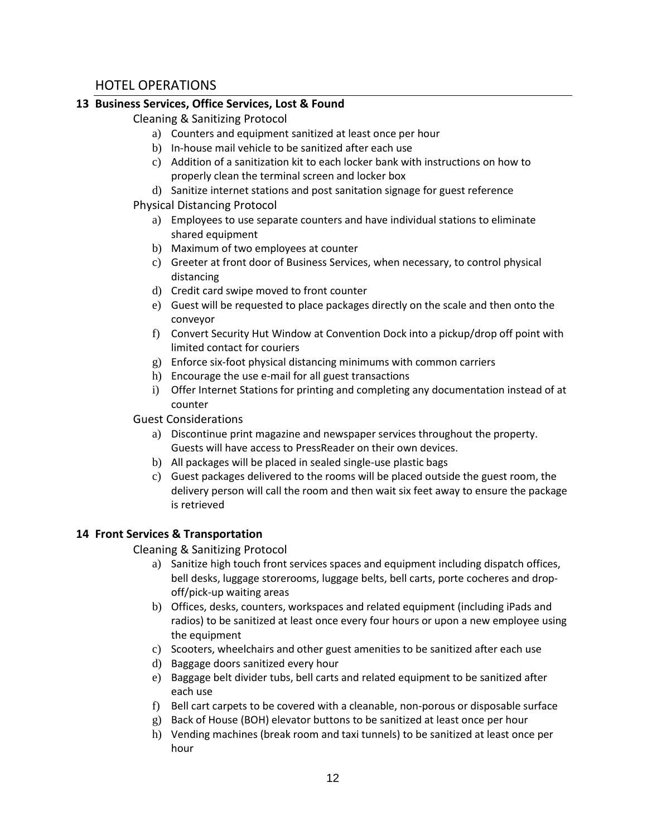# HOTEL OPERATIONS

# **13 Business Services, Office Services, Lost & Found**

Cleaning & Sanitizing Protocol

- a) Counters and equipment sanitized at least once per hour
- b) In-house mail vehicle to be sanitized after each use
- c) Addition of a sanitization kit to each locker bank with instructions on how to properly clean the terminal screen and locker box
- d) Sanitize internet stations and post sanitation signage for guest reference

#### Physical Distancing Protocol

- a) Employees to use separate counters and have individual stations to eliminate shared equipment
- b) Maximum of two employees at counter
- c) Greeter at front door of Business Services, when necessary, to control physical distancing
- d) Credit card swipe moved to front counter
- e) Guest will be requested to place packages directly on the scale and then onto the conveyor
- f) Convert Security Hut Window at Convention Dock into a pickup/drop off point with limited contact for couriers
- g) Enforce six-foot physical distancing minimums with common carriers
- h) Encourage the use e-mail for all guest transactions
- i) Offer Internet Stations for printing and completing any documentation instead of at counter

#### Guest Considerations

- a) Discontinue print magazine and newspaper services throughout the property. Guests will have access to PressReader on their own devices.
- b) All packages will be placed in sealed single-use plastic bags
- c) Guest packages delivered to the rooms will be placed outside the guest room, the delivery person will call the room and then wait six feet away to ensure the package is retrieved

# **14 Front Services & Transportation**

Cleaning & Sanitizing Protocol

- a) Sanitize high touch front services spaces and equipment including dispatch offices, bell desks, luggage storerooms, luggage belts, bell carts, porte cocheres and dropoff/pick-up waiting areas
- b) Offices, desks, counters, workspaces and related equipment (including iPads and radios) to be sanitized at least once every four hours or upon a new employee using the equipment
- c) Scooters, wheelchairs and other guest amenities to be sanitized after each use
- d) Baggage doors sanitized every hour
- e) Baggage belt divider tubs, bell carts and related equipment to be sanitized after each use
- f) Bell cart carpets to be covered with a cleanable, non-porous or disposable surface
- g) Back of House (BOH) elevator buttons to be sanitized at least once per hour
- h) Vending machines (break room and taxi tunnels) to be sanitized at least once per hour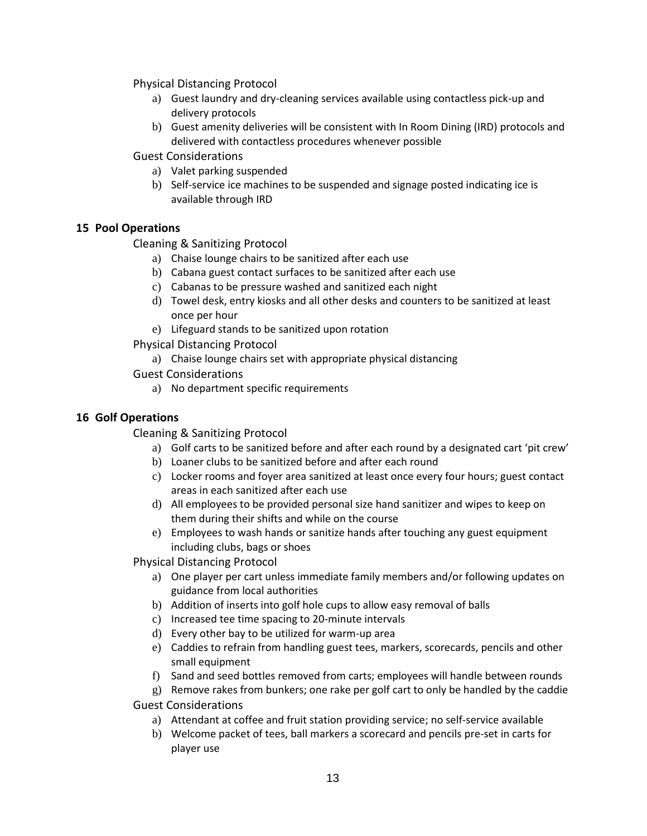Physical Distancing Protocol

- a) Guest laundry and dry-cleaning services available using contactless pick-up and delivery protocols
- b) Guest amenity deliveries will be consistent with In Room Dining (IRD) protocols and delivered with contactless procedures whenever possible
- Guest Considerations
	- a) Valet parking suspended
	- b) Self-service ice machines to be suspended and signage posted indicating ice is available through IRD

# **15 Pool Operations**

Cleaning & Sanitizing Protocol

- a) Chaise lounge chairs to be sanitized after each use
- b) Cabana guest contact surfaces to be sanitized after each use
- c) Cabanas to be pressure washed and sanitized each night
- d) Towel desk, entry kiosks and all other desks and counters to be sanitized at least once per hour
- e) Lifeguard stands to be sanitized upon rotation

Physical Distancing Protocol

a) Chaise lounge chairs set with appropriate physical distancing

Guest Considerations

a) No department specific requirements

# **16 Golf Operations**

Cleaning & Sanitizing Protocol

- a) Golf carts to be sanitized before and after each round by a designated cart 'pit crew'
- b) Loaner clubs to be sanitized before and after each round
- c) Locker rooms and foyer area sanitized at least once every four hours; guest contact areas in each sanitized after each use
- d) All employees to be provided personal size hand sanitizer and wipes to keep on them during their shifts and while on the course
- e) Employees to wash hands or sanitize hands after touching any guest equipment including clubs, bags or shoes

Physical Distancing Protocol

- a) One player per cart unless immediate family members and/or following updates on guidance from local authorities
- b) Addition of inserts into golf hole cups to allow easy removal of balls
- c) Increased tee time spacing to 20-minute intervals
- d) Every other bay to be utilized for warm-up area
- e) Caddies to refrain from handling guest tees, markers, scorecards, pencils and other small equipment
- f) Sand and seed bottles removed from carts; employees will handle between rounds
- g) Remove rakes from bunkers; one rake per golf cart to only be handled by the caddie

Guest Considerations

- a) Attendant at coffee and fruit station providing service; no self-service available
- b) Welcome packet of tees, ball markers a scorecard and pencils pre-set in carts for player use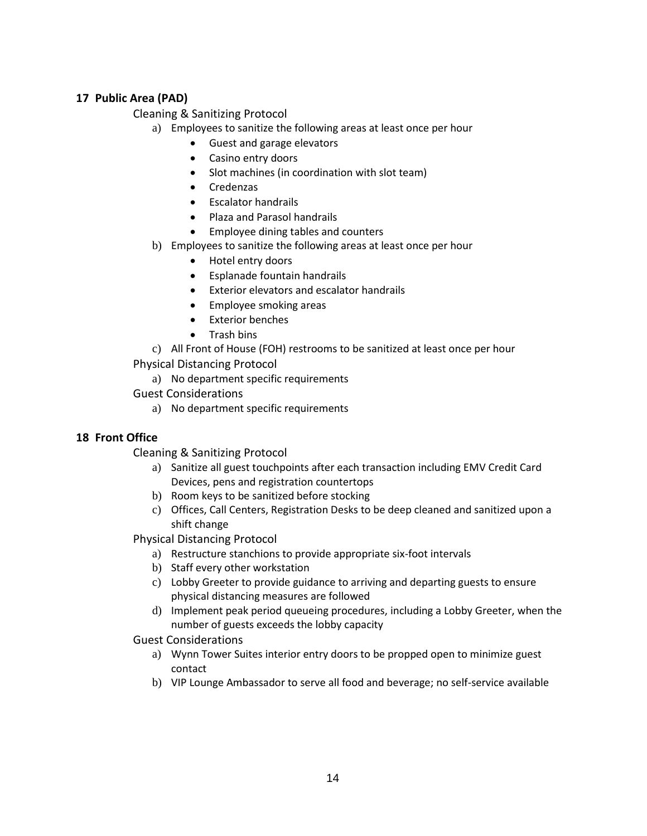# **17 Public Area (PAD)**

Cleaning & Sanitizing Protocol

- a) Employees to sanitize the following areas at least once per hour
	- Guest and garage elevators
	- Casino entry doors
	- Slot machines (in coordination with slot team)
	- Credenzas
	- Escalator handrails
	- Plaza and Parasol handrails
	- Employee dining tables and counters
- b) Employees to sanitize the following areas at least once per hour
	- Hotel entry doors
	- Esplanade fountain handrails
	- Exterior elevators and escalator handrails
	- Employee smoking areas
	- Exterior benches
	- Trash bins

#### c) All Front of House (FOH) restrooms to be sanitized at least once per hour

Physical Distancing Protocol

- a) No department specific requirements
- Guest Considerations
	- a) No department specific requirements

# **18 Front Office**

Cleaning & Sanitizing Protocol

- a) Sanitize all guest touchpoints after each transaction including EMV Credit Card Devices, pens and registration countertops
- b) Room keys to be sanitized before stocking
- c) Offices, Call Centers, Registration Desks to be deep cleaned and sanitized upon a shift change
- Physical Distancing Protocol
	- a) Restructure stanchions to provide appropriate six-foot intervals
	- b) Staff every other workstation
	- c) Lobby Greeter to provide guidance to arriving and departing guests to ensure physical distancing measures are followed
	- d) Implement peak period queueing procedures, including a Lobby Greeter, when the number of guests exceeds the lobby capacity

Guest Considerations

- a) Wynn Tower Suites interior entry doors to be propped open to minimize guest contact
- b) VIP Lounge Ambassador to serve all food and beverage; no self-service available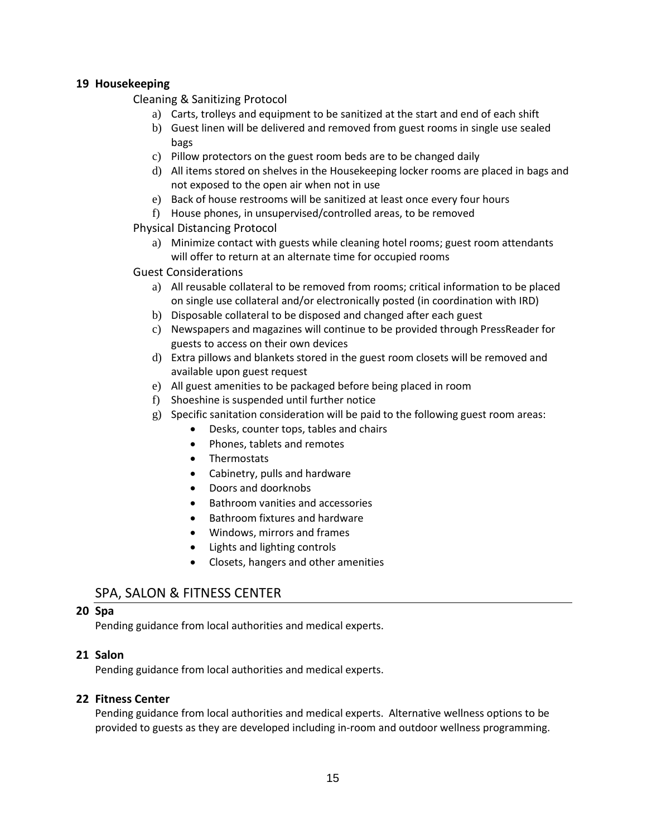#### **19 Housekeeping**

Cleaning & Sanitizing Protocol

- a) Carts, trolleys and equipment to be sanitized at the start and end of each shift
- b) Guest linen will be delivered and removed from guest rooms in single use sealed bags
- c) Pillow protectors on the guest room beds are to be changed daily
- d) All items stored on shelves in the Housekeeping locker rooms are placed in bags and not exposed to the open air when not in use
- e) Back of house restrooms will be sanitized at least once every four hours
- f) House phones, in unsupervised/controlled areas, to be removed

#### Physical Distancing Protocol

a) Minimize contact with guests while cleaning hotel rooms; guest room attendants will offer to return at an alternate time for occupied rooms

#### Guest Considerations

- a) All reusable collateral to be removed from rooms; critical information to be placed on single use collateral and/or electronically posted (in coordination with IRD)
- b) Disposable collateral to be disposed and changed after each guest
- c) Newspapers and magazines will continue to be provided through PressReader for guests to access on their own devices
- d) Extra pillows and blankets stored in the guest room closets will be removed and available upon guest request
- e) All guest amenities to be packaged before being placed in room
- f) Shoeshine is suspended until further notice
- g) Specific sanitation consideration will be paid to the following guest room areas:
	- Desks, counter tops, tables and chairs
	- Phones, tablets and remotes
	- Thermostats
	- Cabinetry, pulls and hardware
	- Doors and doorknobs
	- Bathroom vanities and accessories
	- Bathroom fixtures and hardware
	- Windows, mirrors and frames
	- Lights and lighting controls
	- Closets, hangers and other amenities

# SPA, SALON & FITNESS CENTER

#### **20 Spa**

Pending guidance from local authorities and medical experts.

#### **21 Salon**

Pending guidance from local authorities and medical experts.

# **22 Fitness Center**

Pending guidance from local authorities and medical experts. Alternative wellness options to be provided to guests as they are developed including in-room and outdoor wellness programming.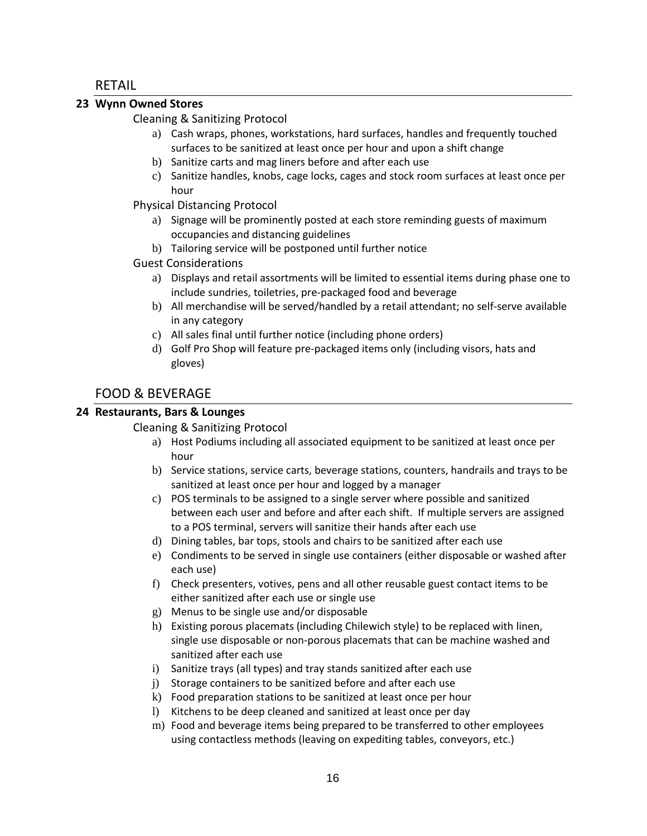# RETAIL

#### **23 Wynn Owned Stores**

Cleaning & Sanitizing Protocol

- a) Cash wraps, phones, workstations, hard surfaces, handles and frequently touched surfaces to be sanitized at least once per hour and upon a shift change
- b) Sanitize carts and mag liners before and after each use
- c) Sanitize handles, knobs, cage locks, cages and stock room surfaces at least once per hour

Physical Distancing Protocol

- a) Signage will be prominently posted at each store reminding guests of maximum occupancies and distancing guidelines
- b) Tailoring service will be postponed until further notice
- Guest Considerations
	- a) Displays and retail assortments will be limited to essential items during phase one to include sundries, toiletries, pre-packaged food and beverage
	- b) All merchandise will be served/handled by a retail attendant; no self-serve available in any category
	- c) All sales final until further notice (including phone orders)
	- d) Golf Pro Shop will feature pre-packaged items only (including visors, hats and gloves)

# FOOD & BEVERAGE

# **24 Restaurants, Bars & Lounges**

Cleaning & Sanitizing Protocol

- a) Host Podiums including all associated equipment to be sanitized at least once per hour
- b) Service stations, service carts, beverage stations, counters, handrails and trays to be sanitized at least once per hour and logged by a manager
- c) POS terminals to be assigned to a single server where possible and sanitized between each user and before and after each shift. If multiple servers are assigned to a POS terminal, servers will sanitize their hands after each use
- d) Dining tables, bar tops, stools and chairs to be sanitized after each use
- e) Condiments to be served in single use containers (either disposable or washed after each use)
- f) Check presenters, votives, pens and all other reusable guest contact items to be either sanitized after each use or single use
- g) Menus to be single use and/or disposable
- h) Existing porous placemats (including Chilewich style) to be replaced with linen, single use disposable or non-porous placemats that can be machine washed and sanitized after each use
- i) Sanitize trays (all types) and tray stands sanitized after each use
- j) Storage containers to be sanitized before and after each use
- k) Food preparation stations to be sanitized at least once per hour
- l) Kitchens to be deep cleaned and sanitized at least once per day
- m) Food and beverage items being prepared to be transferred to other employees using contactless methods (leaving on expediting tables, conveyors, etc.)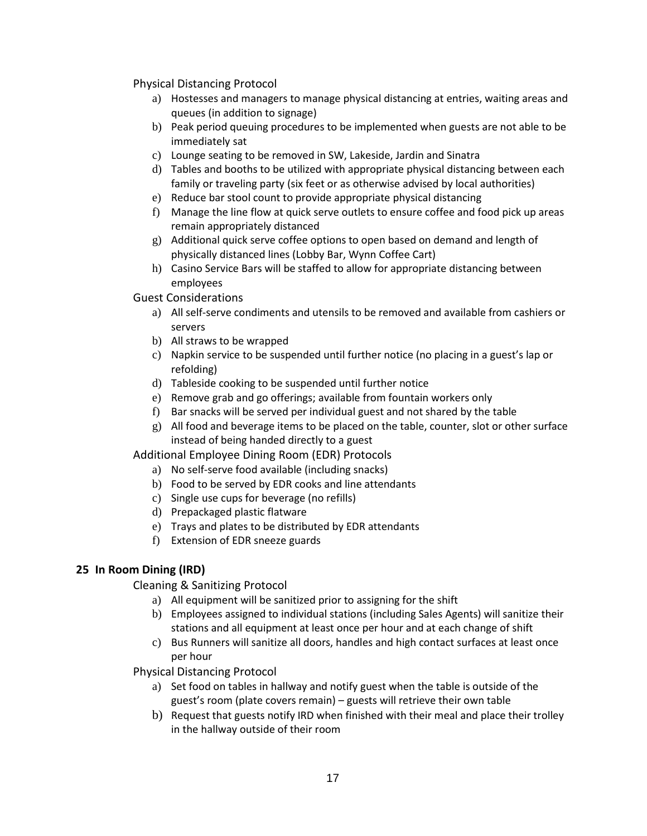Physical Distancing Protocol

- a) Hostesses and managers to manage physical distancing at entries, waiting areas and queues (in addition to signage)
- b) Peak period queuing procedures to be implemented when guests are not able to be immediately sat
- c) Lounge seating to be removed in SW, Lakeside, Jardin and Sinatra
- d) Tables and booths to be utilized with appropriate physical distancing between each family or traveling party (six feet or as otherwise advised by local authorities)
- e) Reduce bar stool count to provide appropriate physical distancing
- f) Manage the line flow at quick serve outlets to ensure coffee and food pick up areas remain appropriately distanced
- g) Additional quick serve coffee options to open based on demand and length of physically distanced lines (Lobby Bar, Wynn Coffee Cart)
- h) Casino Service Bars will be staffed to allow for appropriate distancing between employees
- Guest Considerations
	- a) All self-serve condiments and utensils to be removed and available from cashiers or servers
	- b) All straws to be wrapped
	- c) Napkin service to be suspended until further notice (no placing in a guest's lap or refolding)
	- d) Tableside cooking to be suspended until further notice
	- e) Remove grab and go offerings; available from fountain workers only
	- f) Bar snacks will be served per individual guest and not shared by the table
	- $g$ ) All food and beverage items to be placed on the table, counter, slot or other surface instead of being handed directly to a guest

Additional Employee Dining Room (EDR) Protocols

- a) No self-serve food available (including snacks)
- b) Food to be served by EDR cooks and line attendants
- c) Single use cups for beverage (no refills)
- d) Prepackaged plastic flatware
- e) Trays and plates to be distributed by EDR attendants
- f) Extension of EDR sneeze guards

# **25 In Room Dining (IRD)**

Cleaning & Sanitizing Protocol

- a) All equipment will be sanitized prior to assigning for the shift
- b) Employees assigned to individual stations (including Sales Agents) will sanitize their stations and all equipment at least once per hour and at each change of shift
- c) Bus Runners will sanitize all doors, handles and high contact surfaces at least once per hour

Physical Distancing Protocol

- a) Set food on tables in hallway and notify guest when the table is outside of the guest's room (plate covers remain) – guests will retrieve their own table
- b) Request that guests notify IRD when finished with their meal and place their trolley in the hallway outside of their room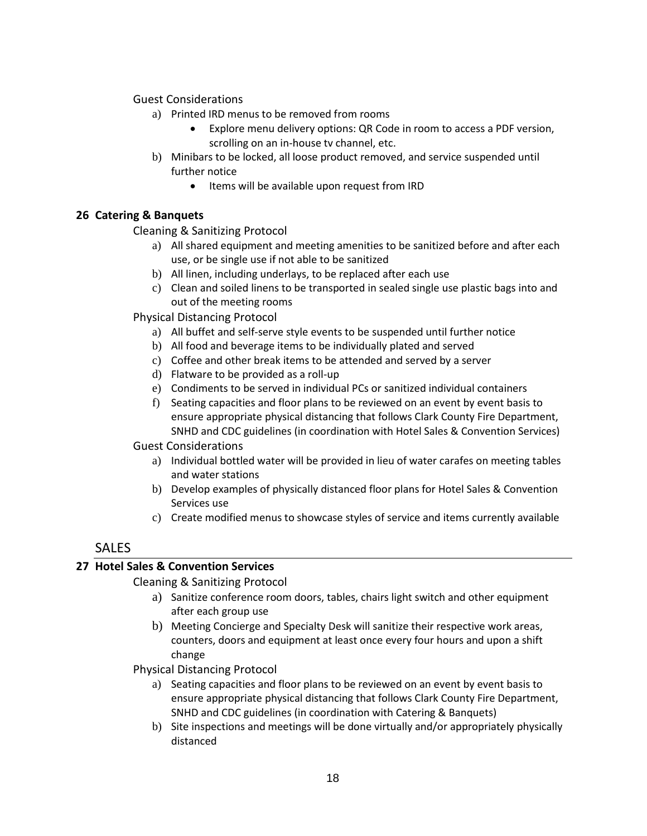Guest Considerations

- a) Printed IRD menus to be removed from rooms
	- Explore menu delivery options: QR Code in room to access a PDF version, scrolling on an in-house tv channel, etc.
- b) Minibars to be locked, all loose product removed, and service suspended until further notice
	- Items will be available upon request from IRD

# **26 Catering & Banquets**

Cleaning & Sanitizing Protocol

- a) All shared equipment and meeting amenities to be sanitized before and after each use, or be single use if not able to be sanitized
- b) All linen, including underlays, to be replaced after each use
- c) Clean and soiled linens to be transported in sealed single use plastic bags into and out of the meeting rooms
- Physical Distancing Protocol
	- a) All buffet and self-serve style events to be suspended until further notice
	- b) All food and beverage items to be individually plated and served
	- c) Coffee and other break items to be attended and served by a server
	- d) Flatware to be provided as a roll-up
	- e) Condiments to be served in individual PCs or sanitized individual containers
	- f) Seating capacities and floor plans to be reviewed on an event by event basis to ensure appropriate physical distancing that follows Clark County Fire Department, SNHD and CDC guidelines (in coordination with Hotel Sales & Convention Services)

#### Guest Considerations

- a) Individual bottled water will be provided in lieu of water carafes on meeting tables and water stations
- b) Develop examples of physically distanced floor plans for Hotel Sales & Convention Services use
- c) Create modified menus to showcase styles of service and items currently available

# **SALES**

# **27 Hotel Sales & Convention Services**

# Cleaning & Sanitizing Protocol

- a) Sanitize conference room doors, tables, chairs light switch and other equipment after each group use
- b) Meeting Concierge and Specialty Desk will sanitize their respective work areas, counters, doors and equipment at least once every four hours and upon a shift change

Physical Distancing Protocol

- a) Seating capacities and floor plans to be reviewed on an event by event basis to ensure appropriate physical distancing that follows Clark County Fire Department, SNHD and CDC guidelines (in coordination with Catering & Banquets)
- b) Site inspections and meetings will be done virtually and/or appropriately physically distanced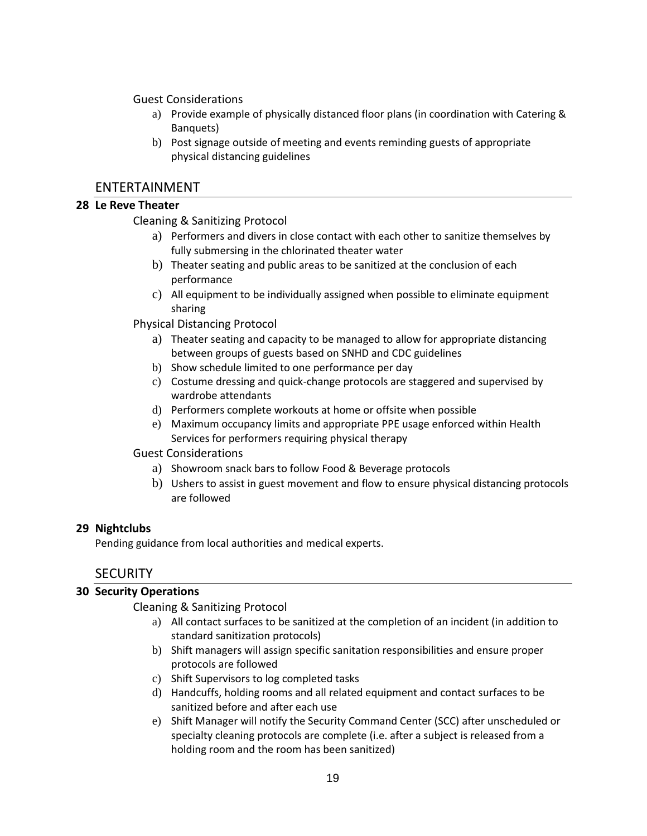Guest Considerations

- a) Provide example of physically distanced floor plans (in coordination with Catering & Banquets)
- b) Post signage outside of meeting and events reminding guests of appropriate physical distancing guidelines

# ENTERTAINMENT

# **28 Le Reve Theater**

# Cleaning & Sanitizing Protocol

- a) Performers and divers in close contact with each other to sanitize themselves by fully submersing in the chlorinated theater water
- b) Theater seating and public areas to be sanitized at the conclusion of each performance
- c) All equipment to be individually assigned when possible to eliminate equipment sharing

Physical Distancing Protocol

- a) Theater seating and capacity to be managed to allow for appropriate distancing between groups of guests based on SNHD and CDC guidelines
- b) Show schedule limited to one performance per day
- c) Costume dressing and quick-change protocols are staggered and supervised by wardrobe attendants
- d) Performers complete workouts at home or offsite when possible
- e) Maximum occupancy limits and appropriate PPE usage enforced within Health Services for performers requiring physical therapy

#### Guest Considerations

- a) Showroom snack bars to follow Food & Beverage protocols
- b) Ushers to assist in guest movement and flow to ensure physical distancing protocols are followed

# **29 Nightclubs**

Pending guidance from local authorities and medical experts.

# **SECURITY**

# **30 Security Operations**

Cleaning & Sanitizing Protocol

- a) All contact surfaces to be sanitized at the completion of an incident (in addition to standard sanitization protocols)
- b) Shift managers will assign specific sanitation responsibilities and ensure proper protocols are followed
- c) Shift Supervisors to log completed tasks
- d) Handcuffs, holding rooms and all related equipment and contact surfaces to be sanitized before and after each use
- e) Shift Manager will notify the Security Command Center (SCC) after unscheduled or specialty cleaning protocols are complete (i.e. after a subject is released from a holding room and the room has been sanitized)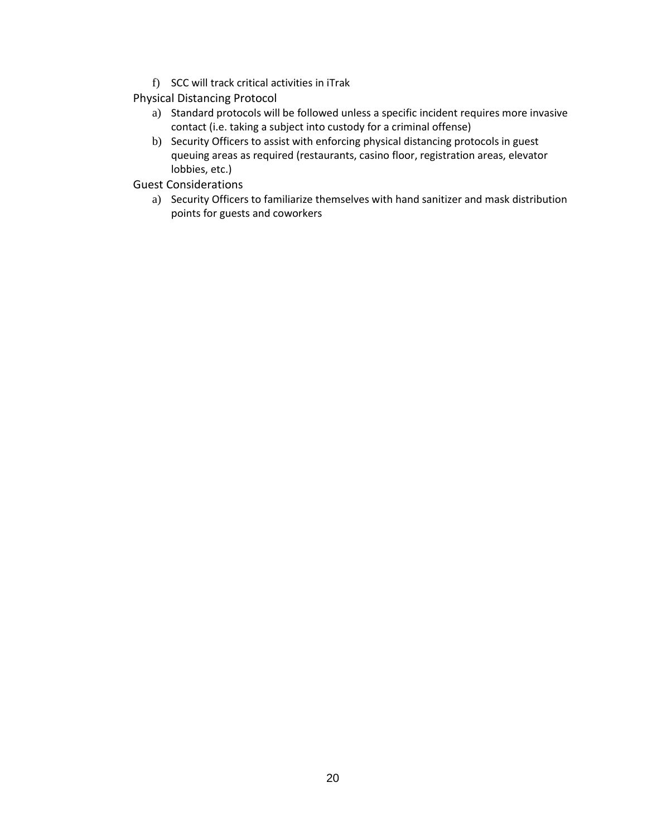f) SCC will track critical activities in iTrak

Physical Distancing Protocol

- a) Standard protocols will be followed unless a specific incident requires more invasive contact (i.e. taking a subject into custody for a criminal offense)
- b) Security Officers to assist with enforcing physical distancing protocols in guest queuing areas as required (restaurants, casino floor, registration areas, elevator lobbies, etc.)
- Guest Considerations
	- a) Security Officers to familiarize themselves with hand sanitizer and mask distribution points for guests and coworkers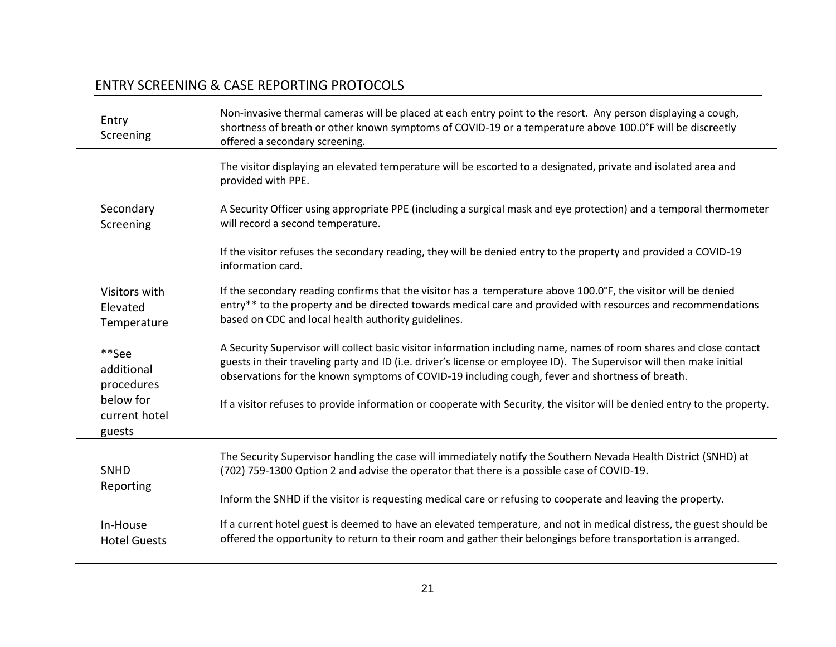# ENTRY SCREENING & CASE REPORTING PROTOCOLS

| Entry<br>Screening                   | Non-invasive thermal cameras will be placed at each entry point to the resort. Any person displaying a cough,<br>shortness of breath or other known symptoms of COVID-19 or a temperature above 100.0°F will be discreetly<br>offered a secondary screening. |
|--------------------------------------|--------------------------------------------------------------------------------------------------------------------------------------------------------------------------------------------------------------------------------------------------------------|
|                                      | The visitor displaying an elevated temperature will be escorted to a designated, private and isolated area and<br>provided with PPE.                                                                                                                         |
| Secondary                            | A Security Officer using appropriate PPE (including a surgical mask and eye protection) and a temporal thermometer                                                                                                                                           |
| Screening                            | will record a second temperature.                                                                                                                                                                                                                            |
|                                      | If the visitor refuses the secondary reading, they will be denied entry to the property and provided a COVID-19<br>information card.                                                                                                                         |
| Visitors with                        | If the secondary reading confirms that the visitor has a temperature above 100.0°F, the visitor will be denied                                                                                                                                               |
| Elevated                             | entry** to the property and be directed towards medical care and provided with resources and recommendations                                                                                                                                                 |
| Temperature                          | based on CDC and local health authority guidelines.                                                                                                                                                                                                          |
| **See                                | A Security Supervisor will collect basic visitor information including name, names of room shares and close contact                                                                                                                                          |
| additional                           | guests in their traveling party and ID (i.e. driver's license or employee ID). The Supervisor will then make initial                                                                                                                                         |
| procedures                           | observations for the known symptoms of COVID-19 including cough, fever and shortness of breath.                                                                                                                                                              |
| below for<br>current hotel<br>guests | If a visitor refuses to provide information or cooperate with Security, the visitor will be denied entry to the property.                                                                                                                                    |
| <b>SNHD</b>                          | The Security Supervisor handling the case will immediately notify the Southern Nevada Health District (SNHD) at                                                                                                                                              |
| Reporting                            | (702) 759-1300 Option 2 and advise the operator that there is a possible case of COVID-19.                                                                                                                                                                   |
|                                      | Inform the SNHD if the visitor is requesting medical care or refusing to cooperate and leaving the property.                                                                                                                                                 |
| In-House                             | If a current hotel guest is deemed to have an elevated temperature, and not in medical distress, the guest should be                                                                                                                                         |
| <b>Hotel Guests</b>                  | offered the opportunity to return to their room and gather their belongings before transportation is arranged.                                                                                                                                               |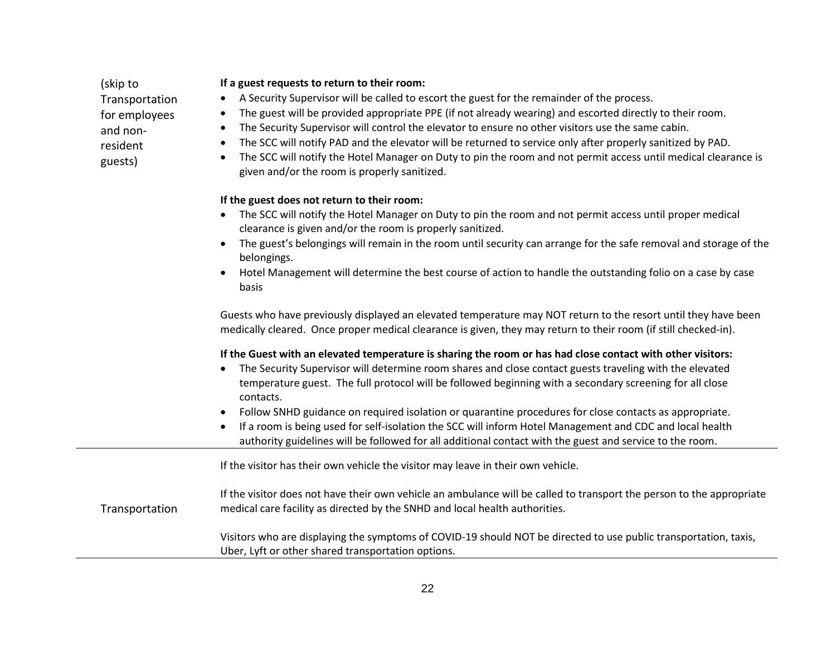# and nonresident guests) The Security Supervisor will control the elevator to ensure no other visitors use the same cabin. The SCC will notify PAD and the elevator will be returned to service only after properly sanitized by PAD. The SCC will notify the Hotel Manager on Duty to pin the room and not permit access until medical clearance is given and/or the room is properly sanitized. **If the guest does not return to their room:** The SCC will notify the Hotel Manager on Duty to pin the room and not permit access until proper medical clearance is given and/or the room is properly sanitized. The guest's belongings will remain in the room until security can arrange for the safe removal and storage of the belongings. Hotel Management will determine the best course of action to handle the outstanding folio on a case by case basis Guests who have previously displayed an elevated temperature may NOT return to the resort until they have been medically cleared. Once proper medical clearance is given, they may return to their room (if still checked-in). **If the Guest with an elevated temperature is sharing the room or has had close contact with other visitors:** The Security Supervisor will determine room shares and close contact guests traveling with the elevated temperature guest. The full protocol will be followed beginning with a secondary screening for all close contacts. Follow SNHD guidance on required isolation or quarantine procedures for close contacts as appropriate. If a room is being used for self-isolation the SCC will inform Hotel Management and CDC and local health authority guidelines will be followed for all additional contact with the guest and service to the room. Transportation If the visitor has their own vehicle the visitor may leave in their own vehicle. If the visitor does not have their own vehicle an ambulance will be called to transport the person to the appropriate medical care facility as directed by the SNHD and local health authorities. Visitors who are displaying the symptoms of COVID-19 should NOT be directed to use public transportation, taxis, Uber, Lyft or other shared transportation options.

#### **If a guest requests to return to their room:**

(skip to

Transportation for employees

- A Security Supervisor will be called to escort the guest for the remainder of the process.
- The guest will be provided appropriate PPE (if not already wearing) and escorted directly to their room.
-